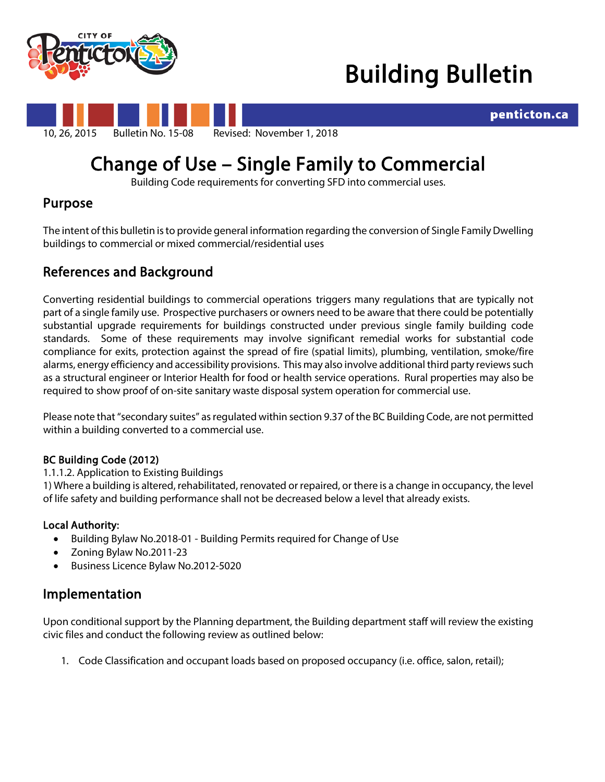



penticton.ca



# Change of Use – Single Family to Commercial Building Code requirements for converting SFD into commercial uses.

## Purpose

The intent of this bulletin is to provide general information regarding the conversion of Single Family Dwelling buildings to commercial or mixed commercial/residential uses

## References and Background

Converting residential buildings to commercial operations triggers many regulations that are typically not part of a single family use. Prospective purchasers or owners need to be aware that there could be potentially substantial upgrade requirements for buildings constructed under previous single family building code standards. Some of these requirements may involve significant remedial works for substantial code compliance for exits, protection against the spread of fire (spatial limits), plumbing, ventilation, smoke/fire alarms, energy efficiency and accessibility provisions. This may also involve additional third party reviews such as a structural engineer or Interior Health for food or health service operations. Rural properties may also be required to show proof of on-site sanitary waste disposal system operation for commercial use.

Please note that "secondary suites" as regulated within section 9.37 of the BC Building Code, are not permitted within a building converted to a commercial use.

## BC Building Code (2012)

## 1.1.1.2. Application to Existing Buildings

1) Where a building is altered, rehabilitated, renovated or repaired, or there is a change in occupancy, the level of life safety and building performance shall not be decreased below a level that already exists.

## Local Authority:

- Building Bylaw No.2018-01 Building Permits required for Change of Use
- Zoning Bylaw No.2011-23
- Business Licence Bylaw No.2012-5020

## Implementation

Upon conditional support by the Planning department, the Building department staff will review the existing civic files and conduct the following review as outlined below:

1. Code Classification and occupant loads based on proposed occupancy (i.e. office, salon, retail);